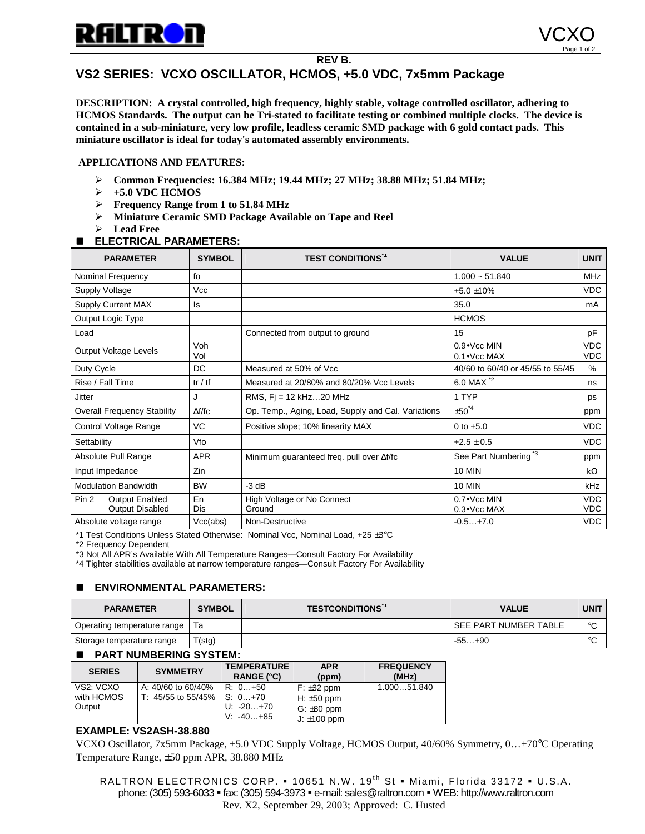

### **REV B.**

# **VS2 SERIES: VCXO OSCILLATOR, HCMOS, +5.0 VDC, 7x5mm Package**

**DESCRIPTION: A crystal controlled, high frequency, highly stable, voltage controlled oscillator, adhering to HCMOS Standards. The output can be Tri-stated to facilitate testing or combined multiple clocks. The device is contained in a sub-miniature, very low profile, leadless ceramic SMD package with 6 gold contact pads. This miniature oscillator is ideal for today's automated assembly environments.**

### **APPLICATIONS AND FEATURES:**

- " **Common Frequencies: 16.384 MHz; 19.44 MHz; 27 MHz; 38.88 MHz; 51.84 MHz;**
- $\rightarrow$  +5.0 VDC HCMOS
- " **Frequency Range from 1 to 51.84 MHz**
- " **Miniature Ceramic SMD Package Available on Tape and Reel**
- $\blacktriangleright$  Lead Free

## **ELECTRICAL PARAMETERS:**

| <b>PARAMETER</b>                                                    | <b>SYMBOL</b> | <b>TEST CONDITIONS*1</b>                           | <b>VALUE</b>                               | <b>UNIT</b>              |
|---------------------------------------------------------------------|---------------|----------------------------------------------------|--------------------------------------------|--------------------------|
| Nominal Frequency                                                   | fo            |                                                    | $1.000 - 51.840$                           |                          |
| Supply Voltage                                                      | Vcc           |                                                    | $+5.0 \pm 10\%$                            |                          |
| Supply Current MAX                                                  | ls            | 35.0                                               |                                            | mA                       |
| Output Logic Type                                                   |               |                                                    | <b>HCMOS</b>                               |                          |
| Load                                                                |               | Connected from output to ground                    | 15                                         |                          |
| Output Voltage Levels                                               | Voh<br>Vol    |                                                    | 0.9• Vcc MIN<br>$0.1 \bullet$ Vcc MAX      |                          |
| Duty Cycle                                                          | DC            | Measured at 50% of Vcc                             | 40/60 to 60/40 or 45/55 to 55/45           |                          |
| Rise / Fall Time                                                    | tr / tf       | Measured at 20/80% and 80/20% Vcc Levels           | 6.0 MAX *2<br>ns                           |                          |
| Jitter                                                              | J             | RMS, $Fi = 12$ kHz $$ 20 MHz                       | 1 TYP<br>ps                                |                          |
| <b>Overall Frequency Stability</b>                                  | $\Delta f/fc$ | Op. Temp., Aging, Load, Supply and Cal. Variations | $\pm 50^{4}$<br>ppm                        |                          |
| Control Voltage Range                                               | VC            | Positive slope; 10% linearity MAX                  | <b>VDC</b><br>$0$ to $+5.0$                |                          |
| Settability                                                         | Vfo           |                                                    | <b>VDC</b><br>$+2.5 \pm 0.5$               |                          |
| Absolute Pull Range                                                 | <b>APR</b>    | Minimum guaranteed freq. pull over Af/fc           | See Part Numbering <sup>13</sup><br>ppm    |                          |
| Input Impedance                                                     | Zin           |                                                    | <b>10 MIN</b>                              | $k\Omega$                |
| <b>Modulation Bandwidth</b>                                         | <b>BW</b>     | $-3 dB$                                            | <b>10 MIN</b>                              | <b>kHz</b>               |
| Pin <sub>2</sub><br><b>Output Enabled</b><br><b>Output Disabled</b> | En<br>Dis     | High Voltage or No Connect<br>Ground               | $0.7 \cdot$ Vcc MIN<br>$0.3 \cdot$ Vcc MAX | <b>VDC</b><br><b>VDC</b> |
| Absolute voltage range                                              | Vcc(abs)      | Non-Destructive                                    | $-0.5+7.0$                                 | <b>VDC</b>               |

\*1 Test Conditions Unless Stated Otherwise: Nominal Vcc, Nominal Load, +25 ±3°C

\*2 Frequency Dependent

\*3 Not All APR's Available With All Temperature Ranges—Consult Factory For Availability

\*4 Tighter stabilities available at narrow temperature ranges—Consult Factory For Availability

## **ENVIRONMENTAL PARAMETERS:**

| <b>PARAMETER</b>                 | <b>SYMBOL</b> | <b>TESTCONDITIONS</b> <sup>1</sup><br><b>VALUE</b> |                       | <b>UNIT</b> |
|----------------------------------|---------------|----------------------------------------------------|-----------------------|-------------|
| Operating temperature range   Ta |               |                                                    | SEE PART NUMBER TABLE | $\circ$     |
| Storage temperature range        | T(stg)        |                                                    | $-55+90$              | $\circ$     |

#### $\blacksquare$  **PART NUMBERING SYSTEM:**

| <b>SERIES</b>                     | <b>SYMMETRY</b>                          | <b>TEMPERATURE</b><br><b>RANGE (°C)</b> | <b>APR</b><br>(ppm)                 | <b>FREQUENCY</b><br>(MHz) |
|-----------------------------------|------------------------------------------|-----------------------------------------|-------------------------------------|---------------------------|
| VS2: VCXO<br>with HCMOS<br>Output | A: 40/60 to 60/40%<br>T: 45/55 to 55/45% | $R: 0+50$<br>$S: 0+70$<br>$U: -20+70$   | $F: \pm 32$ ppm<br>$H: \pm 50$ ppm  | 1.00051.840               |
|                                   |                                          | $V: -40+85$                             | $G: \pm 80$ ppm<br>J: $\pm 100$ ppm |                           |

# **EXAMPLE: VS2ASH-38.880**

VCXO Oscillator, 7x5mm Package, +5.0 VDC Supply Voltage, HCMOS Output, 40/60% Symmetry, 0…+70°C Operating Temperature Range, ±50 ppm APR, 38.880 MHz